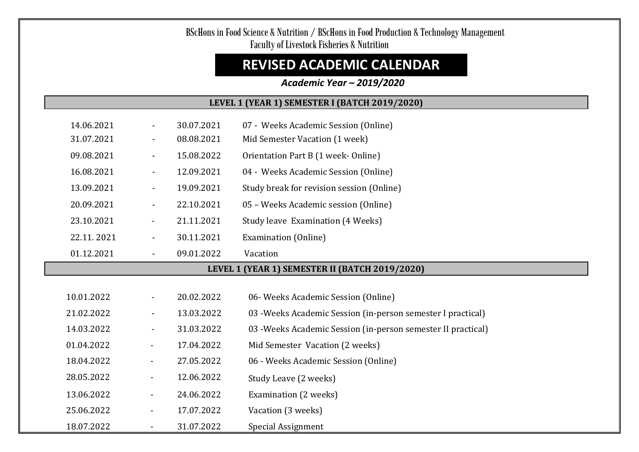# BScHons in Food Science & Nutrition / BScHons in Food Production & Technology Management Faculty of Livestock Fisheries & Nutrition

# **REVISED ACADEMIC CALENDAR**

#### *Academic Year – 2019/2020*  $\overline{\phantom{a}}$

#### **LEVEL 1 (YEAR 1) SEMESTER I (BATCH 2019/2020)**

| 14.06.2021 |                          | 30.07.2021 | 07 - Weeks Academic Session (Online)                          |
|------------|--------------------------|------------|---------------------------------------------------------------|
| 31.07.2021 | $\blacksquare$           | 08.08.2021 | Mid Semester Vacation (1 week)                                |
| 09.08.2021 | $\blacksquare$           | 15.08.2022 | Orientation Part B (1 week- Online)                           |
| 16.08.2021 | $\blacksquare$           | 12.09.2021 | 04 - Weeks Academic Session (Online)                          |
| 13.09.2021 | $\blacksquare$           | 19.09.2021 | Study break for revision session (Online)                     |
| 20.09.2021 | $\blacksquare$           | 22.10.2021 | 05 - Weeks Academic session (Online)                          |
| 23.10.2021 | $\overline{\phantom{a}}$ | 21.11.2021 | Study leave Examination (4 Weeks)                             |
| 22.11.2021 | $\blacksquare$           | 30.11.2021 | <b>Examination (Online)</b>                                   |
| 01.12.2021 | $\blacksquare$           | 09.01.2022 | Vacation                                                      |
|            |                          |            | LEVEL 1 (YEAR 1) SEMESTER II (BATCH 2019/2020)                |
|            |                          |            |                                                               |
| 10.01.2022 |                          | 20.02.2022 | 06- Weeks Academic Session (Online)                           |
| 21.02.2022 | $\blacksquare$           | 13.03.2022 | 03 - Weeks Academic Session (in-person semester I practical)  |
| 14.03.2022 | $\blacksquare$           | 31.03.2022 | 03 - Weeks Academic Session (in-person semester II practical) |
| 01.04.2022 | $\blacksquare$           | 17.04.2022 | Mid Semester Vacation (2 weeks)                               |
| 18.04.2022 | $\blacksquare$           | 27.05.2022 | 06 - Weeks Academic Session (Online)                          |
| 28.05.2022 | $\blacksquare$           | 12.06.2022 | Study Leave (2 weeks)                                         |
| 13.06.2022 | $\blacksquare$           | 24.06.2022 | Examination (2 weeks)                                         |
| 25.06.2022 | $\blacksquare$           | 17.07.2022 | Vacation (3 weeks)                                            |
| 18.07.2022 | Ξ.                       | 31.07.2022 | Special Assignment                                            |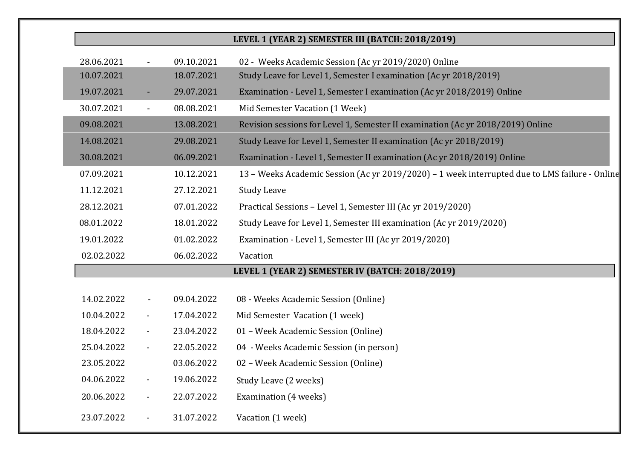## **LEVEL 1 (YEAR 2) SEMESTER III (BATCH: 2018/2019)**

| 28.06.2021 |                          | 09.10.2021 | 02 - Weeks Academic Session (Ac yr 2019/2020) Online                                           |
|------------|--------------------------|------------|------------------------------------------------------------------------------------------------|
| 10.07.2021 |                          | 18.07.2021 | Study Leave for Level 1, Semester I examination (Ac yr 2018/2019)                              |
| 19.07.2021 | $\blacksquare$           | 29.07.2021 | Examination - Level 1, Semester I examination (Ac yr 2018/2019) Online                         |
| 30.07.2021 | $\blacksquare$           | 08.08.2021 | Mid Semester Vacation (1 Week)                                                                 |
| 09.08.2021 |                          | 13.08.2021 | Revision sessions for Level 1, Semester II examination (Ac yr 2018/2019) Online                |
| 14.08.2021 |                          | 29.08.2021 | Study Leave for Level 1, Semester II examination (Ac yr 2018/2019)                             |
| 30.08.2021 |                          | 06.09.2021 | Examination - Level 1, Semester II examination (Ac yr 2018/2019) Online                        |
| 07.09.2021 |                          | 10.12.2021 | 13 - Weeks Academic Session (Ac yr 2019/2020) - 1 week interrupted due to LMS failure - Online |
| 11.12.2021 |                          | 27.12.2021 | <b>Study Leave</b>                                                                             |
| 28.12.2021 |                          | 07.01.2022 | Practical Sessions - Level 1, Semester III (Ac yr 2019/2020)                                   |
| 08.01.2022 |                          | 18.01.2022 | Study Leave for Level 1, Semester III examination (Ac yr 2019/2020)                            |
| 19.01.2022 |                          | 01.02.2022 | Examination - Level 1, Semester III (Ac yr 2019/2020)                                          |
| 02.02.2022 |                          | 06.02.2022 | Vacation                                                                                       |
|            |                          |            | LEVEL 1 (YEAR 2) SEMESTER IV (BATCH: 2018/2019)                                                |
|            |                          |            |                                                                                                |
| 14.02.2022 | $\overline{\phantom{a}}$ | 09.04.2022 | 08 - Weeks Academic Session (Online)                                                           |
| 10.04.2022 | $\blacksquare$           | 17.04.2022 | Mid Semester Vacation (1 week)                                                                 |
| 18.04.2022 | $\blacksquare$           | 23.04.2022 | 01 - Week Academic Session (Online)                                                            |
| 25.04.2022 |                          | 22.05.2022 | 04 - Weeks Academic Session (in person)                                                        |
| 23.05.2022 |                          | 03.06.2022 | 02 - Week Academic Session (Online)                                                            |
| 04.06.2022 | $\blacksquare$           | 19.06.2022 | Study Leave (2 weeks)                                                                          |
| 20.06.2022 | $\blacksquare$           | 22.07.2022 | Examination (4 weeks)                                                                          |
| 23.07.2022 |                          | 31.07.2022 | Vacation (1 week)                                                                              |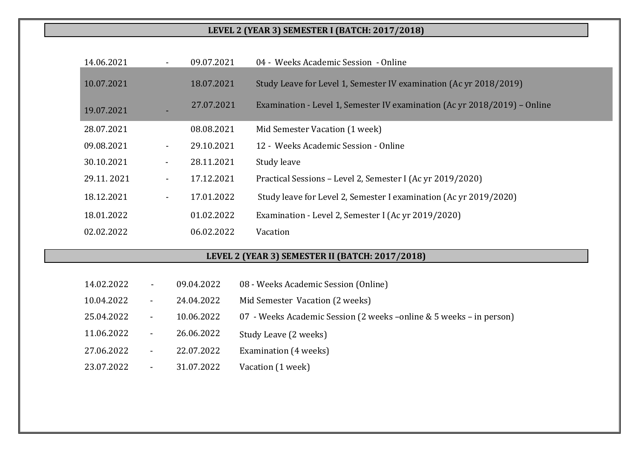## **LEVEL 2 (YEAR 3) SEMESTER I (BATCH: 2017/2018)**

| 14.06.2021 | 09.07.2021                   | 04 - Weeks Academic Session - Online                                      |
|------------|------------------------------|---------------------------------------------------------------------------|
| 10.07.2021 | 18.07.2021                   | Study Leave for Level 1, Semester IV examination (Ac yr 2018/2019)        |
| 19.07.2021 | 27.07.2021                   | Examination - Level 1, Semester IV examination (Ac yr 2018/2019) - Online |
| 28.07.2021 | 08.08.2021                   | Mid Semester Vacation (1 week)                                            |
| 09.08.2021 | 29.10.2021                   | 12 - Weeks Academic Session - Online                                      |
| 30.10.2021 | 28.11.2021                   | Study leave                                                               |
| 29.11.2021 | 17.12.2021<br>$\blacksquare$ | Practical Sessions - Level 2, Semester I (Ac yr 2019/2020)                |
| 18.12.2021 | 17.01.2022<br>$\blacksquare$ | Study leave for Level 2, Semester I examination (Ac yr 2019/2020)         |
| 18.01.2022 | 01.02.2022                   | Examination - Level 2, Semester I (Ac yr 2019/2020)                       |
| 02.02.2022 | 06.02.2022                   | Vacation                                                                  |
|            |                              |                                                                           |
|            |                              | LEVEL 2 (YEAR 3) SEMESTER II (BATCH: 2017/2018)                           |
| 14.02.2022 | 09.04.2022                   | 08 - Weeks Academic Session (Online)                                      |

| 10.04.2022 | $\blacksquare$ | 24.04.2022 | Mid Semester Vacation (2 weeks)                                      |
|------------|----------------|------------|----------------------------------------------------------------------|
| 25.04.2022 | $\sim$         | 10.06.2022 | 07 - Weeks Academic Session (2 weeks – online & 5 weeks – in person) |
| 11.06.2022 | $\blacksquare$ | 26.06.2022 | Study Leave (2 weeks)                                                |
| 27.06.2022 | $\blacksquare$ | 22.07.2022 | Examination (4 weeks)                                                |
| 23.07.2022 | $\blacksquare$ | 31.07.2022 | Vacation (1 week)                                                    |

<u>ranski po</u>